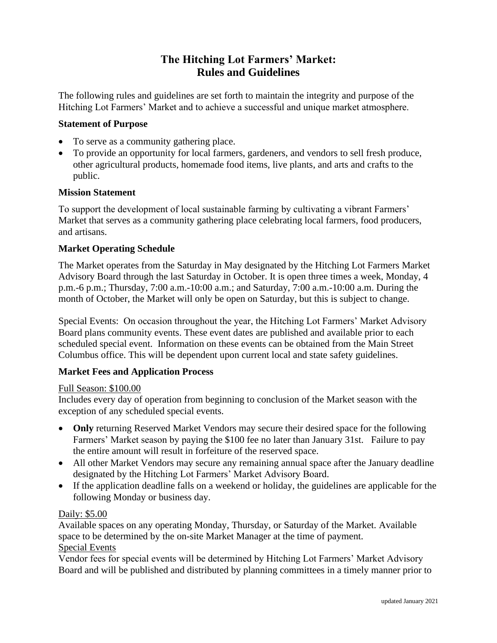# **The Hitching Lot Farmers' Market: Rules and Guidelines**

The following rules and guidelines are set forth to maintain the integrity and purpose of the Hitching Lot Farmers' Market and to achieve a successful and unique market atmosphere.

#### **Statement of Purpose**

- To serve as a community gathering place.
- To provide an opportunity for local farmers, gardeners, and vendors to sell fresh produce, other agricultural products, homemade food items, live plants, and arts and crafts to the public.

#### **Mission Statement**

To support the development of local sustainable farming by cultivating a vibrant Farmers' Market that serves as a community gathering place celebrating local farmers, food producers, and artisans.

#### **Market Operating Schedule**

The Market operates from the Saturday in May designated by the Hitching Lot Farmers Market Advisory Board through the last Saturday in October. It is open three times a week, Monday, 4 p.m.-6 p.m.; Thursday, 7:00 a.m.-10:00 a.m.; and Saturday, 7:00 a.m.-10:00 a.m. During the month of October, the Market will only be open on Saturday, but this is subject to change.

Special Events: On occasion throughout the year, the Hitching Lot Farmers' Market Advisory Board plans community events. These event dates are published and available prior to each scheduled special event. Information on these events can be obtained from the Main Street Columbus office. This will be dependent upon current local and state safety guidelines.

#### **Market Fees and Application Process**

#### Full Season: \$100.00

Includes every day of operation from beginning to conclusion of the Market season with the exception of any scheduled special events.

- **Only** returning Reserved Market Vendors may secure their desired space for the following Farmers' Market season by paying the \$100 fee no later than January 31st. Failure to pay the entire amount will result in forfeiture of the reserved space.
- All other Market Vendors may secure any remaining annual space after the January deadline designated by the Hitching Lot Farmers' Market Advisory Board.
- If the application deadline falls on a weekend or holiday, the guidelines are applicable for the following Monday or business day.

#### Daily: \$5.00

Available spaces on any operating Monday, Thursday, or Saturday of the Market. Available space to be determined by the on-site Market Manager at the time of payment. Special Events

Vendor fees for special events will be determined by Hitching Lot Farmers' Market Advisory Board and will be published and distributed by planning committees in a timely manner prior to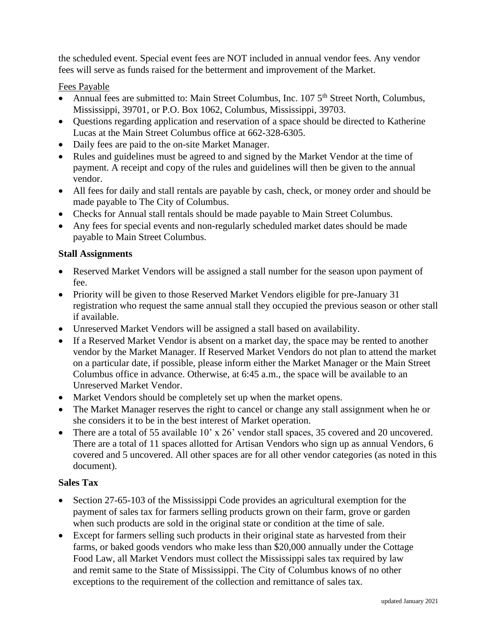the scheduled event. Special event fees are NOT included in annual vendor fees. Any vendor fees will serve as funds raised for the betterment and improvement of the Market.

### Fees Payable

- Annual fees are submitted to: Main Street Columbus, Inc. 107 5<sup>th</sup> Street North, Columbus, Mississippi, 39701, or P.O. Box 1062, Columbus, Mississippi, 39703.
- Questions regarding application and reservation of a space should be directed to Katherine Lucas at the Main Street Columbus office at 662-328-6305.
- Daily fees are paid to the on-site Market Manager.
- Rules and guidelines must be agreed to and signed by the Market Vendor at the time of payment. A receipt and copy of the rules and guidelines will then be given to the annual vendor.
- All fees for daily and stall rentals are payable by cash, check, or money order and should be made payable to The City of Columbus.
- Checks for Annual stall rentals should be made payable to Main Street Columbus.
- Any fees for special events and non-regularly scheduled market dates should be made payable to Main Street Columbus.

#### **Stall Assignments**

- Reserved Market Vendors will be assigned a stall number for the season upon payment of fee.
- Priority will be given to those Reserved Market Vendors eligible for pre-January 31 registration who request the same annual stall they occupied the previous season or other stall if available.
- Unreserved Market Vendors will be assigned a stall based on availability.
- If a Reserved Market Vendor is absent on a market day, the space may be rented to another vendor by the Market Manager. If Reserved Market Vendors do not plan to attend the market on a particular date, if possible, please inform either the Market Manager or the Main Street Columbus office in advance. Otherwise, at 6:45 a.m., the space will be available to an Unreserved Market Vendor.
- Market Vendors should be completely set up when the market opens.
- The Market Manager reserves the right to cancel or change any stall assignment when he or she considers it to be in the best interest of Market operation.
- There are a total of 55 available 10' x 26' vendor stall spaces, 35 covered and 20 uncovered. There are a total of 11 spaces allotted for Artisan Vendors who sign up as annual Vendors, 6 covered and 5 uncovered. All other spaces are for all other vendor categories (as noted in this document).

#### **Sales Tax**

- Section 27-65-103 of the Mississippi Code provides an agricultural exemption for the payment of sales tax for farmers selling products grown on their farm, grove or garden when such products are sold in the original state or condition at the time of sale.
- Except for farmers selling such products in their original state as harvested from their farms, or baked goods vendors who make less than \$20,000 annually under the Cottage Food Law, all Market Vendors must collect the Mississippi sales tax required by law and remit same to the State of Mississippi. The City of Columbus knows of no other exceptions to the requirement of the collection and remittance of sales tax.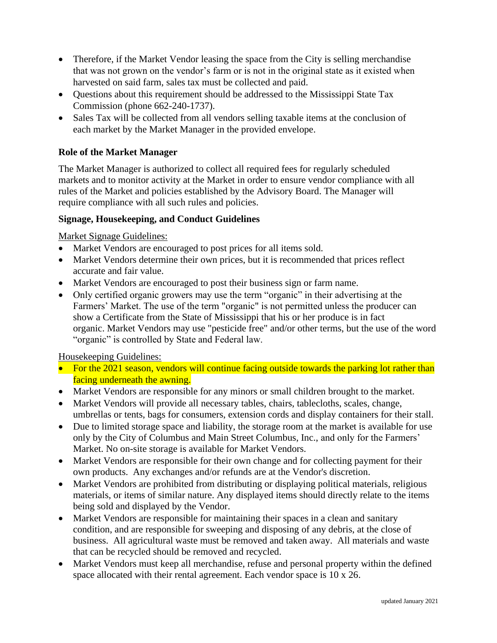- Therefore, if the Market Vendor leasing the space from the City is selling merchandise that was not grown on the vendor's farm or is not in the original state as it existed when harvested on said farm, sales tax must be collected and paid.
- Questions about this requirement should be addressed to the Mississippi State Tax Commission (phone 662-240-1737).
- Sales Tax will be collected from all vendors selling taxable items at the conclusion of each market by the Market Manager in the provided envelope.

# **Role of the Market Manager**

The Market Manager is authorized to collect all required fees for regularly scheduled markets and to monitor activity at the Market in order to ensure vendor compliance with all rules of the Market and policies established by the Advisory Board. The Manager will require compliance with all such rules and policies.

# **Signage, Housekeeping, and Conduct Guidelines**

Market Signage Guidelines:

- Market Vendors are encouraged to post prices for all items sold.
- Market Vendors determine their own prices, but it is recommended that prices reflect accurate and fair value.
- Market Vendors are encouraged to post their business sign or farm name.
- Only certified organic growers may use the term "organic" in their advertising at the Farmers' Market. The use of the term "organic" is not permitted unless the producer can show a Certificate from the State of Mississippi that his or her produce is in fact organic. Market Vendors may use "pesticide free" and/or other terms, but the use of the word "organic" is controlled by State and Federal law.

#### Housekeeping Guidelines:

- For the 2021 season, vendors will continue facing outside towards the parking lot rather than facing underneath the awning.
- Market Vendors are responsible for any minors or small children brought to the market.
- Market Vendors will provide all necessary tables, chairs, tablecloths, scales, change, umbrellas or tents, bags for consumers, extension cords and display containers for their stall.
- Due to limited storage space and liability, the storage room at the market is available for use only by the City of Columbus and Main Street Columbus, Inc., and only for the Farmers' Market. No on-site storage is available for Market Vendors.
- Market Vendors are responsible for their own change and for collecting payment for their own products. Any exchanges and/or refunds are at the Vendor's discretion.
- Market Vendors are prohibited from distributing or displaying political materials, religious materials, or items of similar nature. Any displayed items should directly relate to the items being sold and displayed by the Vendor.
- Market Vendors are responsible for maintaining their spaces in a clean and sanitary condition, and are responsible for sweeping and disposing of any debris, at the close of business. All agricultural waste must be removed and taken away. All materials and waste that can be recycled should be removed and recycled.
- Market Vendors must keep all merchandise, refuse and personal property within the defined space allocated with their rental agreement. Each vendor space is 10 x 26.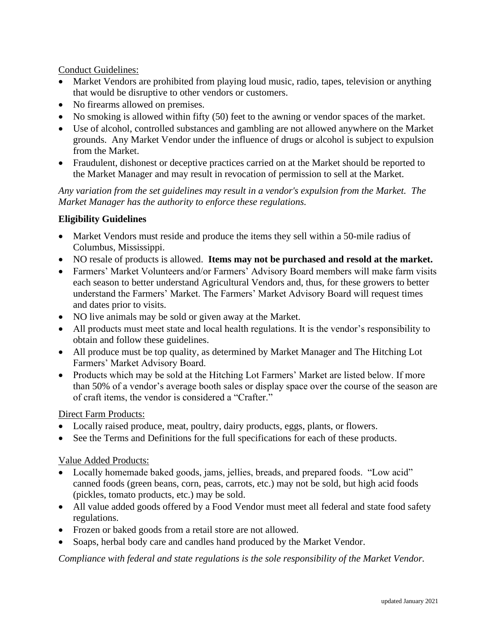Conduct Guidelines:

- Market Vendors are prohibited from playing loud music, radio, tapes, television or anything that would be disruptive to other vendors or customers.
- No firearms allowed on premises.
- No smoking is allowed within fifty (50) feet to the awning or vendor spaces of the market.
- Use of alcohol, controlled substances and gambling are not allowed anywhere on the Market grounds. Any Market Vendor under the influence of drugs or alcohol is subject to expulsion from the Market.
- Fraudulent, dishonest or deceptive practices carried on at the Market should be reported to the Market Manager and may result in revocation of permission to sell at the Market.

*Any variation from the set guidelines may result in a vendor's expulsion from the Market. The Market Manager has the authority to enforce these regulations.*

# **Eligibility Guidelines**

- Market Vendors must reside and produce the items they sell within a 50-mile radius of Columbus, Mississippi.
- NO resale of products is allowed. **Items may not be purchased and resold at the market.**
- Farmers' Market Volunteers and/or Farmers' Advisory Board members will make farm visits each season to better understand Agricultural Vendors and, thus, for these growers to better understand the Farmers' Market. The Farmers' Market Advisory Board will request times and dates prior to visits.
- NO live animals may be sold or given away at the Market.
- All products must meet state and local health regulations. It is the vendor's responsibility to obtain and follow these guidelines.
- All produce must be top quality, as determined by Market Manager and The Hitching Lot Farmers' Market Advisory Board.
- Products which may be sold at the Hitching Lot Farmers' Market are listed below. If more than 50% of a vendor's average booth sales or display space over the course of the season are of craft items, the vendor is considered a "Crafter."

# Direct Farm Products:

- Locally raised produce, meat, poultry, dairy products, eggs, plants, or flowers.
- See the Terms and Definitions for the full specifications for each of these products.

# Value Added Products:

- Locally homemade baked goods, jams, jellies, breads, and prepared foods. "Low acid" canned foods (green beans, corn, peas, carrots, etc.) may not be sold, but high acid foods (pickles, tomato products, etc.) may be sold.
- All value added goods offered by a Food Vendor must meet all federal and state food safety regulations.
- Frozen or baked goods from a retail store are not allowed.
- Soaps, herbal body care and candles hand produced by the Market Vendor.

*Compliance with federal and state regulations is the sole responsibility of the Market Vendor.*